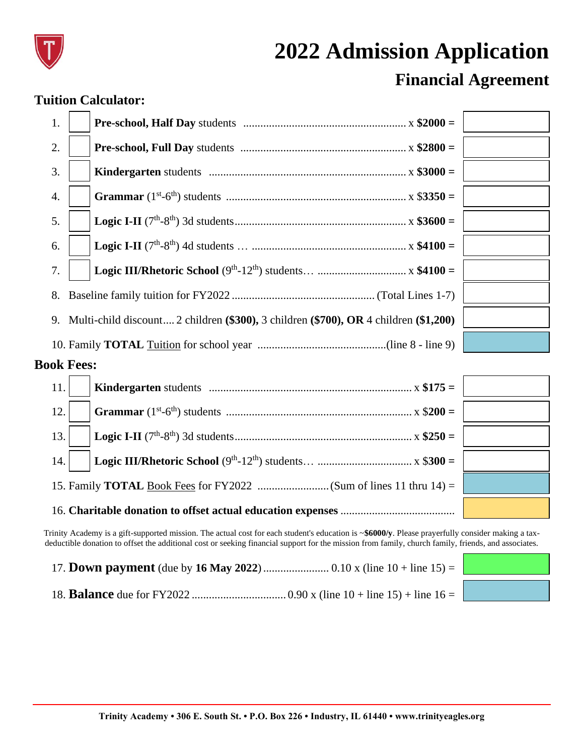

## **2022 Admission Application Financial Agreement**

## **Tuition Calculator:**

| 1.                |                                                                                         |  |  |
|-------------------|-----------------------------------------------------------------------------------------|--|--|
| 2.                |                                                                                         |  |  |
| 3.                |                                                                                         |  |  |
| 4.                |                                                                                         |  |  |
| 5.                |                                                                                         |  |  |
| 6.                |                                                                                         |  |  |
| 7.                |                                                                                         |  |  |
| 8.                |                                                                                         |  |  |
|                   | 9. Multi-child discount 2 children (\$300), 3 children (\$700), OR 4 children (\$1,200) |  |  |
|                   |                                                                                         |  |  |
| <b>Book Fees:</b> |                                                                                         |  |  |
| 11.               |                                                                                         |  |  |
| 12.               |                                                                                         |  |  |
| 13.               |                                                                                         |  |  |

14. **Logic III/Rhetoric School** (9 th -12 th) students… ................................. x \$**300 =** 15. Family **TOTAL** Book Fees for FY2022 .........................(Sum of lines 11 thru 14) = 16. **Charitable donation to offset actual education expenses** ........................................

Trinity Academy is a gift-supported mission. The actual cost for each student's education is ~**\$6000/y**. Please prayerfully consider making a taxdeductible donation to offset the additional cost or seeking financial support for the mission from family, church family, friends, and associates.





18. **Balance** due for FY2022 ................................. 0.90 x (line 10 + line 15) + line 16 =